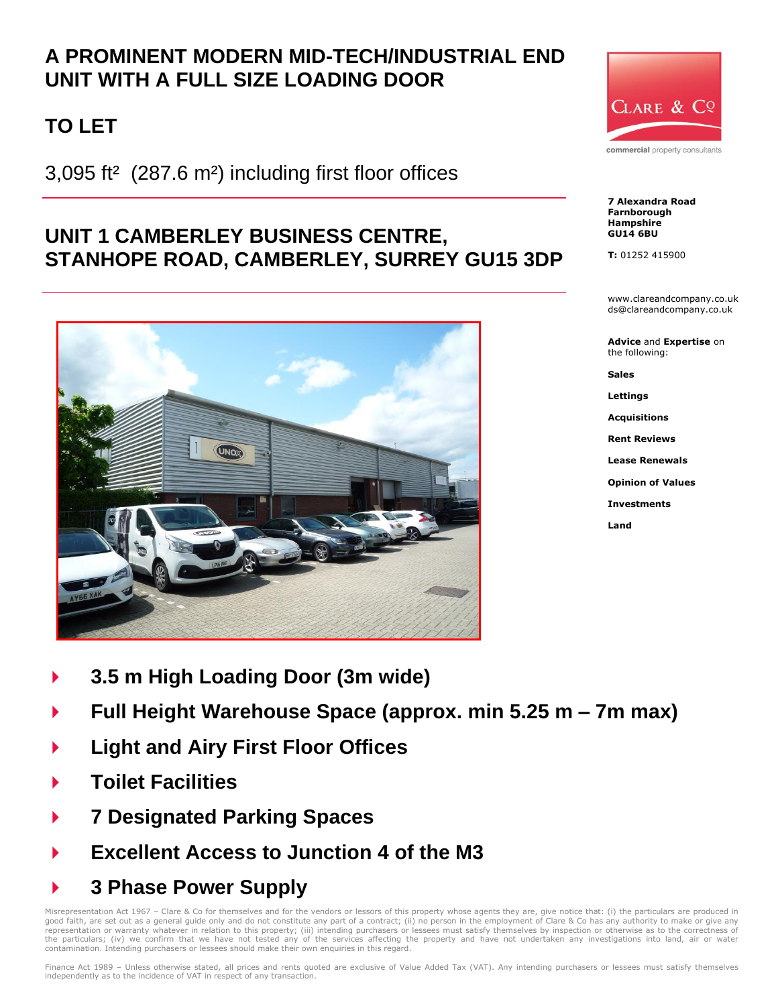## **A PROMINENT MODERN MID-TECH/INDUSTRIAL END UNIT WITH A FULL SIZE LOADING DOOR**

# **TO LET**

3,095 ft² (287.6 m²) including first floor offices

## **UNIT 1 CAMBERLEY BUSINESS CENTRE, STANHOPE ROAD, CAMBERLEY, SURREY GU15 3DP**





commercial property consultants

**7 Alexandra Road Farnborough Hampshire GU14 6BU**

**T:** 01252 415900

www.clareandcompany.co.uk ds@clareandcompany.co.uk

**Advice** and **Expertise** on the following:

**Sales**

**Lettings**

**Acquisitions**

**Rent Reviews**

**Lease Renewals**

**Opinion of Values**

**Investments**

**Land**

- **3.5 m High Loading Door (3m wide)**
- **Full Height Warehouse Space (approx. min 5.25 m – 7m max)**
- **Light and Airy First Floor Offices**
- **Toilet Facilities**
- **7 Designated Parking Spaces**
- **Excellent Access to Junction 4 of the M3**
- **3 Phase Power Supply**

Misrepresentation Act 1967 - Clare & Co for themselves and for the vendors or lessors of this property whose agents they are, give notice that: (i) the particulars are produced in good faith, are set out as a general guide only and do not constitute any part of a contract; (ii) no person in the employment of Clare & Co has any authority to make or give any<br>representation or warranty whatever in rela contamination. Intending purchasers or lessees should make their own enquiries in this regard.

Finance Act 1989 – Unless otherwise stated, all prices and rents quoted are exclusive of Value Added Tax (VAT). Any intending purchasers or lessees must satisfy themselves independently as to the incidence of VAT in respect of any transaction.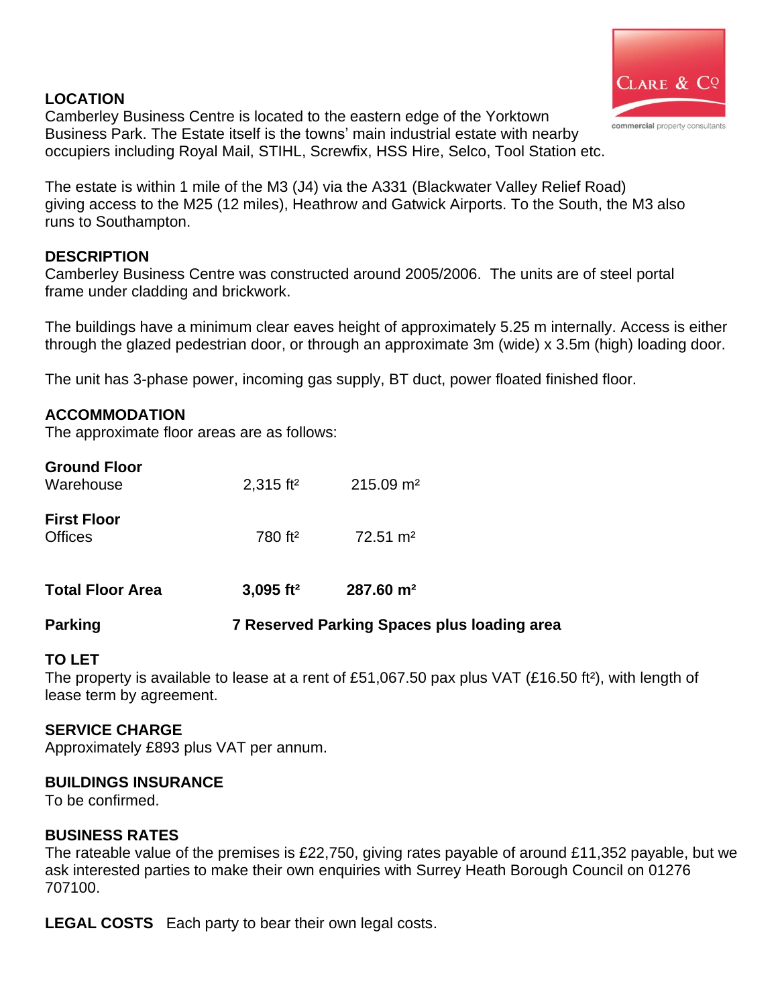### **LOCATION**



Camberley Business Centre is located to the eastern edge of the Yorktown Business Park. The Estate itself is the towns' main industrial estate with nearby occupiers including Royal Mail, STIHL, Screwfix, HSS Hire, Selco, Tool Station etc.

The estate is within 1 mile of the M3 (J4) via the A331 (Blackwater Valley Relief Road) giving access to the M25 (12 miles), Heathrow and Gatwick Airports. To the South, the M3 also runs to Southampton.

### **DESCRIPTION**

Camberley Business Centre was constructed around 2005/2006. The units are of steel portal frame under cladding and brickwork.

The buildings have a minimum clear eaves height of approximately 5.25 m internally. Access is either through the glazed pedestrian door, or through an approximate 3m (wide) x 3.5m (high) loading door.

The unit has 3-phase power, incoming gas supply, BT duct, power floated finished floor.

#### **ACCOMMODATION**

The approximate floor areas are as follows:

| <b>Ground Floor</b><br>Warehouse     | $2,315$ ft <sup>2</sup> | $215.09$ m <sup>2</sup> |
|--------------------------------------|-------------------------|-------------------------|
| <b>First Floor</b><br><b>Offices</b> | 780 ft <sup>2</sup>     | $72.51 \text{ m}^2$     |
| <b>Total Floor Area</b>              | $3,095$ ft <sup>2</sup> | $287.60 \; \text{m}^2$  |

## **Parking 7 Reserved Parking Spaces plus loading area**

## **TO LET**

The property is available to lease at a rent of £51,067.50 pax plus VAT (£16.50 ft²), with length of lease term by agreement.

#### **SERVICE CHARGE**

Approximately £893 plus VAT per annum.

## **BUILDINGS INSURANCE**

To be confirmed.

#### **BUSINESS RATES**

The rateable value of the premises is £22,750, giving rates payable of around £11,352 payable, but we ask interested parties to make their own enquiries with Surrey Heath Borough Council on 01276 707100.

**LEGAL COSTS** Each party to bear their own legal costs.